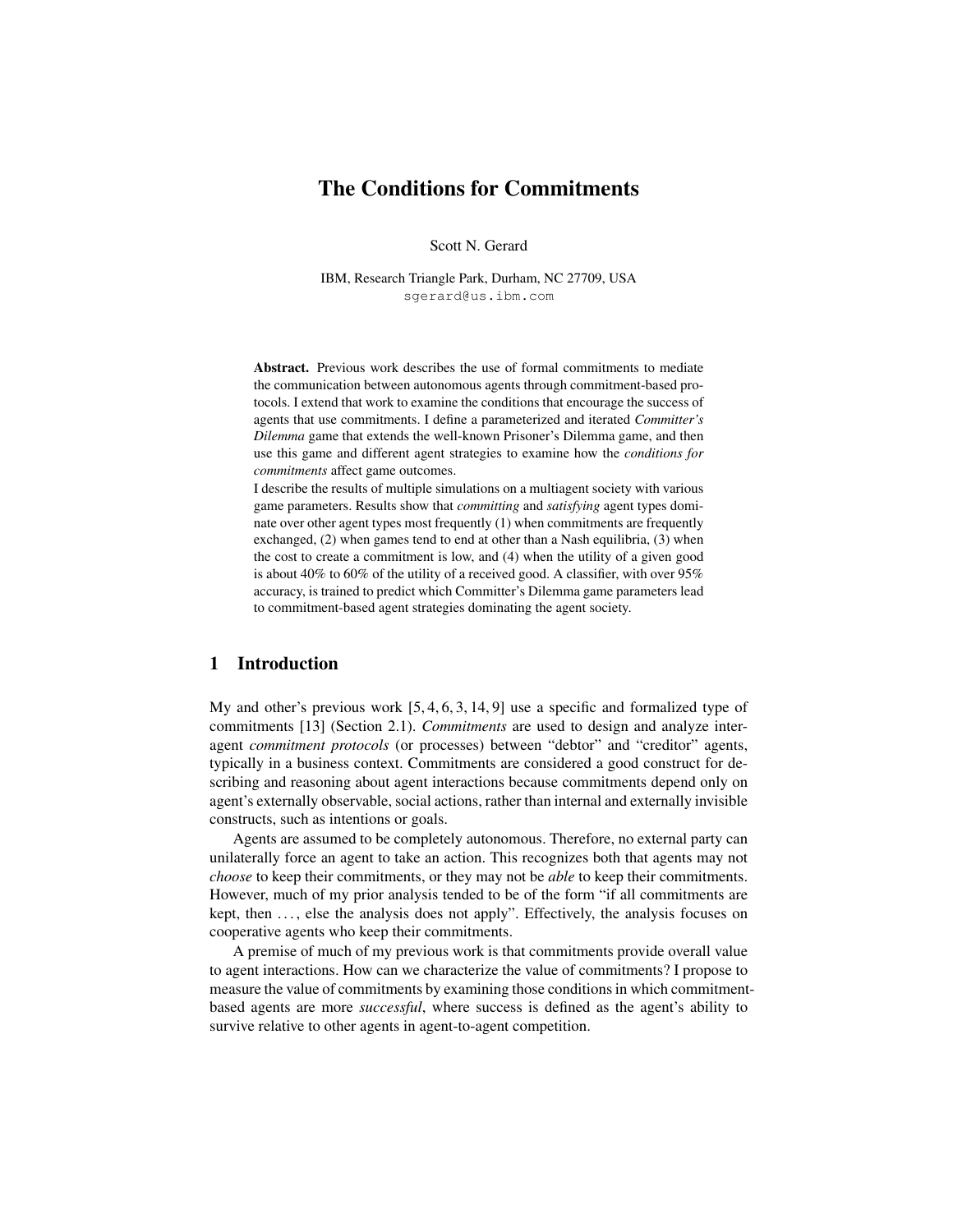# The Conditions for Commitments

Scott N. Gerard

IBM, Research Triangle Park, Durham, NC 27709, USA sgerard@us.ibm.com

Abstract. Previous work describes the use of formal commitments to mediate the communication between autonomous agents through commitment-based protocols. I extend that work to examine the conditions that encourage the success of agents that use commitments. I define a parameterized and iterated *Committer's Dilemma* game that extends the well-known Prisoner's Dilemma game, and then use this game and different agent strategies to examine how the *conditions for commitments* affect game outcomes.

I describe the results of multiple simulations on a multiagent society with various game parameters. Results show that *committing* and *satisfying* agent types dominate over other agent types most frequently (1) when commitments are frequently exchanged, (2) when games tend to end at other than a Nash equilibria, (3) when the cost to create a commitment is low, and (4) when the utility of a given good is about 40% to 60% of the utility of a received good. A classifier, with over 95% accuracy, is trained to predict which Committer's Dilemma game parameters lead to commitment-based agent strategies dominating the agent society.

# 1 Introduction

My and other's previous work [5, 4, 6, 3, 14, 9] use a specific and formalized type of commitments [13] (Section 2.1). *Commitments* are used to design and analyze interagent *commitment protocols* (or processes) between "debtor" and "creditor" agents, typically in a business context. Commitments are considered a good construct for describing and reasoning about agent interactions because commitments depend only on agent's externally observable, social actions, rather than internal and externally invisible constructs, such as intentions or goals.

Agents are assumed to be completely autonomous. Therefore, no external party can unilaterally force an agent to take an action. This recognizes both that agents may not *choose* to keep their commitments, or they may not be *able* to keep their commitments. However, much of my prior analysis tended to be of the form "if all commitments are kept, then ..., else the analysis does not apply". Effectively, the analysis focuses on cooperative agents who keep their commitments.

A premise of much of my previous work is that commitments provide overall value to agent interactions. How can we characterize the value of commitments? I propose to measure the value of commitments by examining those conditions in which commitmentbased agents are more *successful*, where success is defined as the agent's ability to survive relative to other agents in agent-to-agent competition.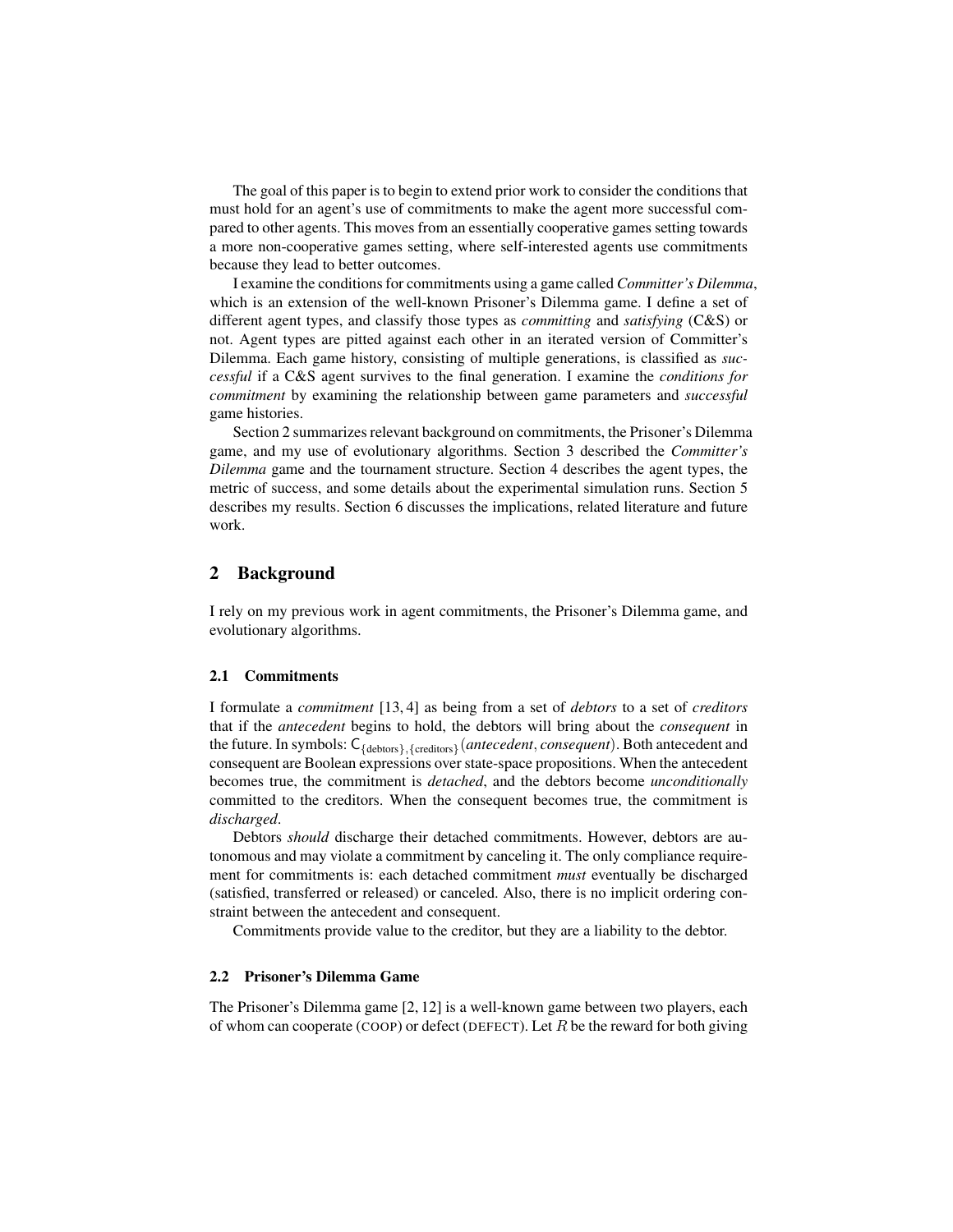The goal of this paper is to begin to extend prior work to consider the conditions that must hold for an agent's use of commitments to make the agent more successful compared to other agents. This moves from an essentially cooperative games setting towards a more non-cooperative games setting, where self-interested agents use commitments because they lead to better outcomes.

I examine the conditions for commitments using a game called *Committer's Dilemma*, which is an extension of the well-known Prisoner's Dilemma game. I define a set of different agent types, and classify those types as *committing* and *satisfying* (C&S) or not. Agent types are pitted against each other in an iterated version of Committer's Dilemma. Each game history, consisting of multiple generations, is classified as *successful* if a C&S agent survives to the final generation. I examine the *conditions for commitment* by examining the relationship between game parameters and *successful* game histories.

Section 2 summarizes relevant background on commitments, the Prisoner's Dilemma game, and my use of evolutionary algorithms. Section 3 described the *Committer's Dilemma* game and the tournament structure. Section 4 describes the agent types, the metric of success, and some details about the experimental simulation runs. Section 5 describes my results. Section 6 discusses the implications, related literature and future work.

# 2 Background

I rely on my previous work in agent commitments, the Prisoner's Dilemma game, and evolutionary algorithms.

### 2.1 Commitments

I formulate a *commitment* [13, 4] as being from a set of *debtors* to a set of *creditors* that if the *antecedent* begins to hold, the debtors will bring about the *consequent* in the future. In symbols: C{debtors},{creditors}(*antecedent*, *consequent*). Both antecedent and consequent are Boolean expressions over state-space propositions. When the antecedent becomes true, the commitment is *detached*, and the debtors become *unconditionally* committed to the creditors. When the consequent becomes true, the commitment is *discharged*.

Debtors *should* discharge their detached commitments. However, debtors are autonomous and may violate a commitment by canceling it. The only compliance requirement for commitments is: each detached commitment *must* eventually be discharged (satisfied, transferred or released) or canceled. Also, there is no implicit ordering constraint between the antecedent and consequent.

Commitments provide value to the creditor, but they are a liability to the debtor.

### 2.2 Prisoner's Dilemma Game

The Prisoner's Dilemma game [2, 12] is a well-known game between two players, each of whom can cooperate (COOP) or defect (DEFECT). Let  $R$  be the reward for both giving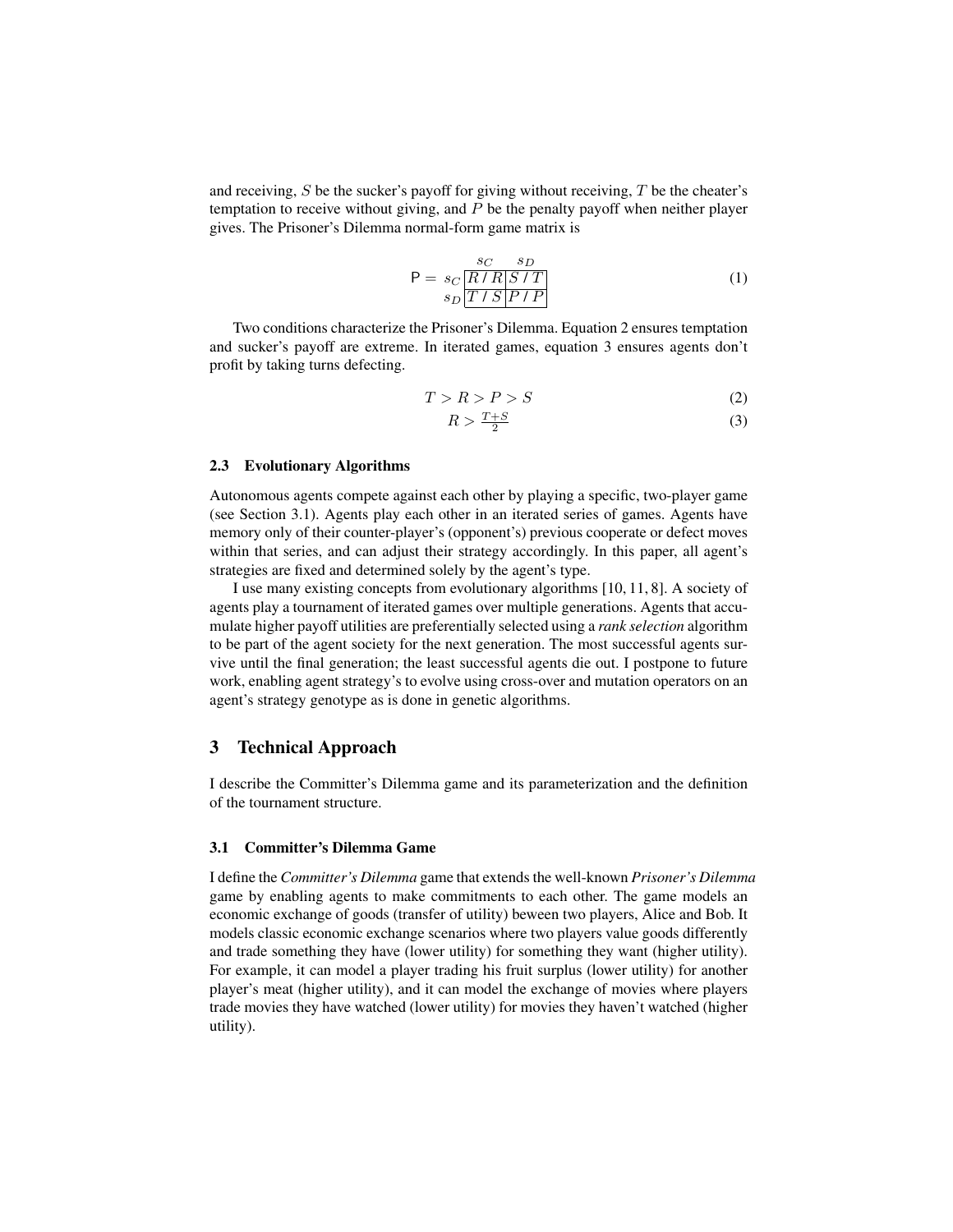and receiving,  $S$  be the sucker's payoff for giving without receiving,  $T$  be the cheater's temptation to receive without giving, and  $P$  be the penalty payoff when neither player gives. The Prisoner's Dilemma normal-form game matrix is

$$
P = s_C \frac{s_C - s_D}{s_D \boxed{T / S} \boxed{P / P}}
$$
(1)

Two conditions characterize the Prisoner's Dilemma. Equation 2 ensures temptation and sucker's payoff are extreme. In iterated games, equation 3 ensures agents don't profit by taking turns defecting.

$$
T > R > P > S \tag{2}
$$

$$
R > \frac{T+S}{2} \tag{3}
$$

#### 2.3 Evolutionary Algorithms

Autonomous agents compete against each other by playing a specific, two-player game (see Section 3.1). Agents play each other in an iterated series of games. Agents have memory only of their counter-player's (opponent's) previous cooperate or defect moves within that series, and can adjust their strategy accordingly. In this paper, all agent's strategies are fixed and determined solely by the agent's type.

I use many existing concepts from evolutionary algorithms [10, 11, 8]. A society of agents play a tournament of iterated games over multiple generations. Agents that accumulate higher payoff utilities are preferentially selected using a *rank selection* algorithm to be part of the agent society for the next generation. The most successful agents survive until the final generation; the least successful agents die out. I postpone to future work, enabling agent strategy's to evolve using cross-over and mutation operators on an agent's strategy genotype as is done in genetic algorithms.

# 3 Technical Approach

I describe the Committer's Dilemma game and its parameterization and the definition of the tournament structure.

# 3.1 Committer's Dilemma Game

I define the *Committer's Dilemma* game that extends the well-known *Prisoner's Dilemma* game by enabling agents to make commitments to each other. The game models an economic exchange of goods (transfer of utility) beween two players, Alice and Bob. It models classic economic exchange scenarios where two players value goods differently and trade something they have (lower utility) for something they want (higher utility). For example, it can model a player trading his fruit surplus (lower utility) for another player's meat (higher utility), and it can model the exchange of movies where players trade movies they have watched (lower utility) for movies they haven't watched (higher utility).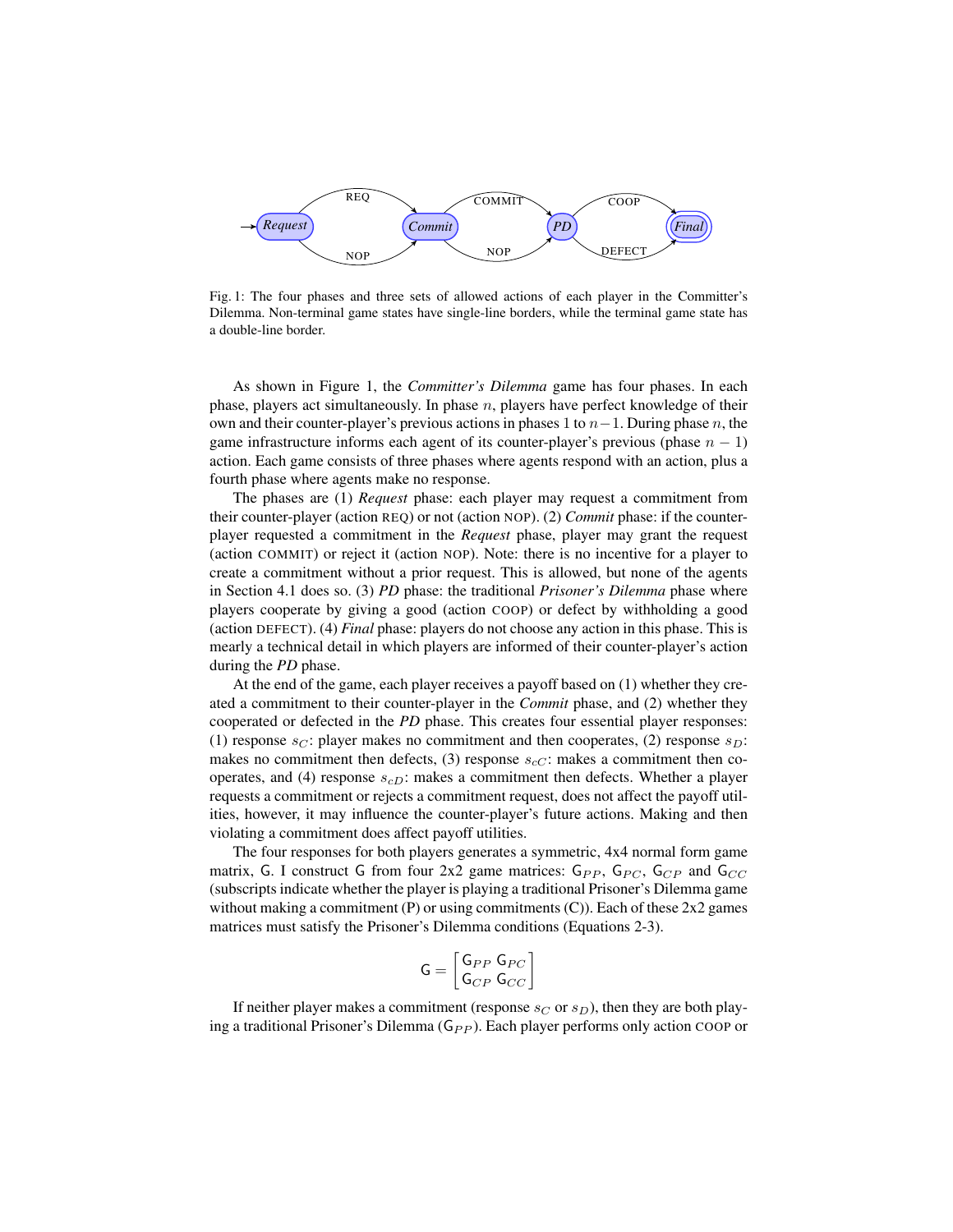

Fig. 1: The four phases and three sets of allowed actions of each player in the Committer's Dilemma. Non-terminal game states have single-line borders, while the terminal game state has a double-line border.

As shown in Figure 1, the *Committer's Dilemma* game has four phases. In each phase, players act simultaneously. In phase  $n$ , players have perfect knowledge of their own and their counter-player's previous actions in phases 1 to  $n-1$ . During phase n, the game infrastructure informs each agent of its counter-player's previous (phase  $n - 1$ ) action. Each game consists of three phases where agents respond with an action, plus a fourth phase where agents make no response.

The phases are (1) *Request* phase: each player may request a commitment from their counter-player (action REQ) or not (action NOP). (2) *Commit* phase: if the counterplayer requested a commitment in the *Request* phase, player may grant the request (action COMMIT) or reject it (action NOP). Note: there is no incentive for a player to create a commitment without a prior request. This is allowed, but none of the agents in Section 4.1 does so. (3) *PD* phase: the traditional *Prisoner's Dilemma* phase where players cooperate by giving a good (action COOP) or defect by withholding a good (action DEFECT). (4) *Final* phase: players do not choose any action in this phase. This is mearly a technical detail in which players are informed of their counter-player's action during the *PD* phase.

At the end of the game, each player receives a payoff based on (1) whether they created a commitment to their counter-player in the *Commit* phase, and (2) whether they cooperated or defected in the *PD* phase. This creates four essential player responses: (1) response  $s_C$ : player makes no commitment and then cooperates, (2) response  $s_D$ : makes no commitment then defects, (3) response  $s_{cC}$ : makes a commitment then cooperates, and (4) response  $s_{cD}$ : makes a commitment then defects. Whether a player requests a commitment or rejects a commitment request, does not affect the payoff utilities, however, it may influence the counter-player's future actions. Making and then violating a commitment does affect payoff utilities.

The four responses for both players generates a symmetric, 4x4 normal form game matrix, G. I construct G from four 2x2 game matrices:  $G_{PP}$ ,  $G_{PC}$ ,  $G_{CP}$  and  $G_{CC}$ (subscripts indicate whether the player is playing a traditional Prisoner's Dilemma game without making a commitment  $(P)$  or using commitments  $(C)$ ). Each of these  $2x2$  games matrices must satisfy the Prisoner's Dilemma conditions (Equations 2-3).

$$
\mathsf{G} = \left[ \begin{matrix} \mathsf{G}_{PP} \ \mathsf{G}_{PC} \\ \mathsf{G}_{CP} \ \mathsf{G}_{CC} \end{matrix} \right]
$$

If neither player makes a commitment (response  $s_C$  or  $s_D$ ), then they are both playing a traditional Prisoner's Dilemma  $(G_{PP})$ . Each player performs only action COOP or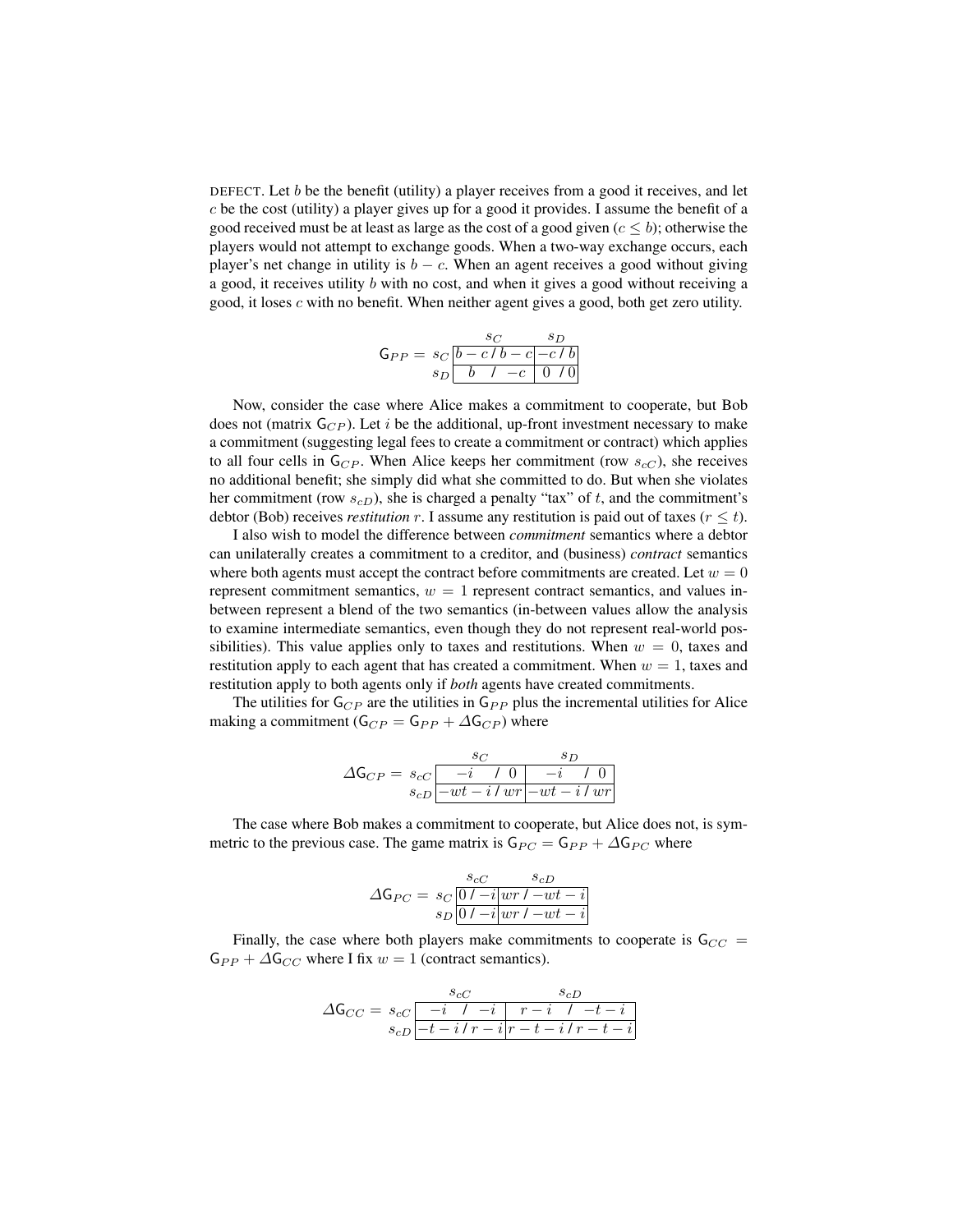DEFECT. Let b be the benefit (utility) a player receives from a good it receives, and let  $c$  be the cost (utility) a player gives up for a good it provides. I assume the benefit of a good received must be at least as large as the cost of a good given  $(c \le b)$ ; otherwise the players would not attempt to exchange goods. When a two-way exchange occurs, each player's net change in utility is  $b - c$ . When an agent receives a good without giving a good, it receives utility b with no cost, and when it gives a good without receiving a good, it loses  $c$  with no benefit. When neither agent gives a good, both get zero utility.

$$
\mathsf{G}_{PP} = \frac{s_C}{s_D} \frac{s_D}{b - c/b - c - c/b}
$$

$$
s_D \frac{b - c - c/b}{b - c - 0}
$$

Now, consider the case where Alice makes a commitment to cooperate, but Bob does not (matrix  $G_{CP}$ ). Let i be the additional, up-front investment necessary to make a commitment (suggesting legal fees to create a commitment or contract) which applies to all four cells in  $G_{CP}$ . When Alice keeps her commitment (row  $s_{cC}$ ), she receives no additional benefit; she simply did what she committed to do. But when she violates her commitment (row  $s_{cD}$ ), she is charged a penalty "tax" of t, and the commitment's debtor (Bob) receives *restitution* r. I assume any restitution is paid out of taxes  $(r \le t)$ .

I also wish to model the difference between *commitment* semantics where a debtor can unilaterally creates a commitment to a creditor, and (business) *contract* semantics where both agents must accept the contract before commitments are created. Let  $w = 0$ represent commitment semantics,  $w = 1$  represent contract semantics, and values inbetween represent a blend of the two semantics (in-between values allow the analysis to examine intermediate semantics, even though they do not represent real-world possibilities). This value applies only to taxes and restitutions. When  $w = 0$ , taxes and restitution apply to each agent that has created a commitment. When  $w = 1$ , taxes and restitution apply to both agents only if *both* agents have created commitments.

The utilities for  $G_{CP}$  are the utilities in  $G_{PP}$  plus the incremental utilities for Alice making a commitment ( $G_{CP} = G_{PP} + \Delta G_{CP}$ ) where

$$
\Delta \mathsf{G}_{CP} = \frac{s_C}{s_{cD}} \frac{s_D}{\left| \frac{-i}{-wt - i/wr} \right| - wt - i/wr}
$$

The case where Bob makes a commitment to cooperate, but Alice does not, is symmetric to the previous case. The game matrix is  $G_{PC} = G_{PP} + \Delta G_{PC}$  where

$$
\Delta G_{PC} = s_C \frac{s_{cC} - s_{cD}}{s_D \boxed{01 - i \left| wr \, 1 - wt - i \right|}}
$$

Finally, the case where both players make commitments to cooperate is  $G_{CC}$  =  $G_{PP} + \Delta G_{CC}$  where I fix  $w = 1$  (contract semantics).

$$
\Delta \mathsf{G}_{CC} = \underbrace{s_{cC}}_{s_{cD}} \frac{s_{cD}}{-i \quad 1 \quad -i \quad r-i \quad 1 \quad -t-i}{r-i \quad 1 \quad -t-i}
$$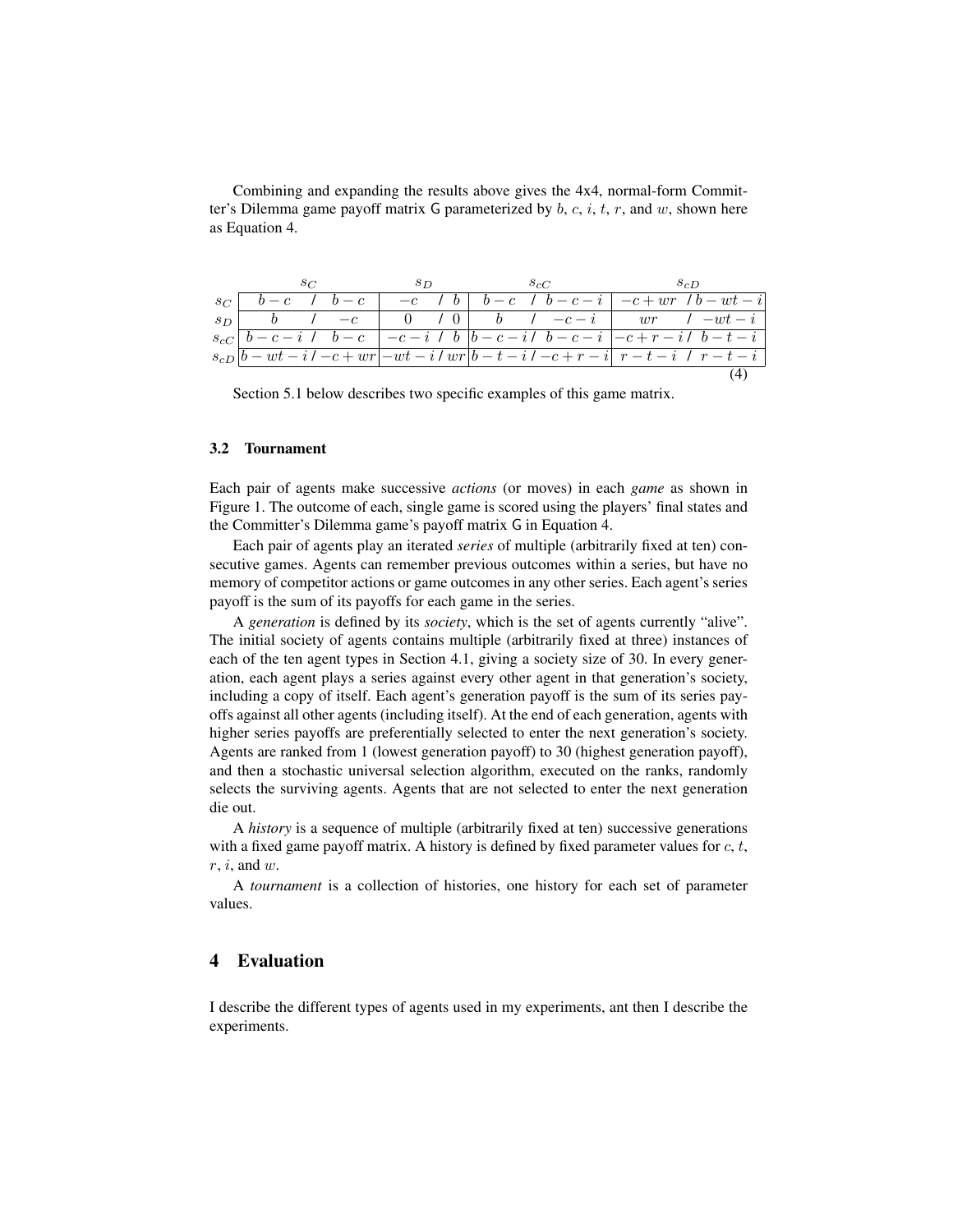| Combining and expanding the results above gives the 4x4, normal-form Commit-         |
|--------------------------------------------------------------------------------------|
| ter's Dilemma game payoff matrix G parameterized by b, c, i, t, r, and w, shown here |
| as Equation 4.                                                                       |

|      |                       |                        | 5 D |  |  |  |  |                                                                                                                                                                                                                                                                                                                                                                                         |
|------|-----------------------|------------------------|-----|--|--|--|--|-----------------------------------------------------------------------------------------------------------------------------------------------------------------------------------------------------------------------------------------------------------------------------------------------------------------------------------------------------------------------------------------|
|      | $s_C$   $b-c$   $b-c$ |                        |     |  |  |  |  | $-c$ $b$ $b-c$ $d$ $b-c-i$ $-c+wr$ $d$ $b-wt-i$                                                                                                                                                                                                                                                                                                                                         |
| $sn$ |                       | $b \qquad l \qquad -c$ |     |  |  |  |  | 0 $\left 0\right $ $\left 0\right $ $\left 0\right $ $\left 0\right $ $\left 0\right $ $\left 0\right $ $\left 0\right $ $\left 0\right $ $\left 0\right $ $\left 0\right $ $\left 0\right $ $\left 0\right $ $\left 0\right $ $\left 0\right $ $\left 0\right $ $\left 0\right $ $\left 0\right $ $\left 0\right $ $\left 0\right $ $\left 0\right $ $\left 0\right $ $\left 0\right $ |
|      |                       |                        |     |  |  |  |  | $s_{cC}$   $b - c - i$ / $b - c$   $-c - i$ / b  b $\overline{-c - i}$   $b - c - i$   $\overline{-c + r - i}$   $b - t - i$                                                                                                                                                                                                                                                            |
|      |                       |                        |     |  |  |  |  | $s_{cD} b-wt-i$ / $-c+wr -wt-i$ / $wr b-t-i$ / $-c+r-i $ $r-t-i$ / $r-t-i$                                                                                                                                                                                                                                                                                                              |
|      |                       |                        |     |  |  |  |  |                                                                                                                                                                                                                                                                                                                                                                                         |

Section 5.1 below describes two specific examples of this game matrix.

### 3.2 Tournament

Each pair of agents make successive *actions* (or moves) in each *game* as shown in Figure 1. The outcome of each, single game is scored using the players' final states and the Committer's Dilemma game's payoff matrix G in Equation 4.

Each pair of agents play an iterated *series* of multiple (arbitrarily fixed at ten) consecutive games. Agents can remember previous outcomes within a series, but have no memory of competitor actions or game outcomes in any other series. Each agent's series payoff is the sum of its payoffs for each game in the series.

A *generation* is defined by its *society*, which is the set of agents currently "alive". The initial society of agents contains multiple (arbitrarily fixed at three) instances of each of the ten agent types in Section 4.1, giving a society size of 30. In every generation, each agent plays a series against every other agent in that generation's society, including a copy of itself. Each agent's generation payoff is the sum of its series payoffs against all other agents (including itself). At the end of each generation, agents with higher series payoffs are preferentially selected to enter the next generation's society. Agents are ranked from 1 (lowest generation payoff) to 30 (highest generation payoff), and then a stochastic universal selection algorithm, executed on the ranks, randomly selects the surviving agents. Agents that are not selected to enter the next generation die out.

A *history* is a sequence of multiple (arbitrarily fixed at ten) successive generations with a fixed game payoff matrix. A history is defined by fixed parameter values for  $c, t$ ,  $r, i$ , and  $w$ .

A *tournament* is a collection of histories, one history for each set of parameter values.

# 4 Evaluation

I describe the different types of agents used in my experiments, ant then I describe the experiments.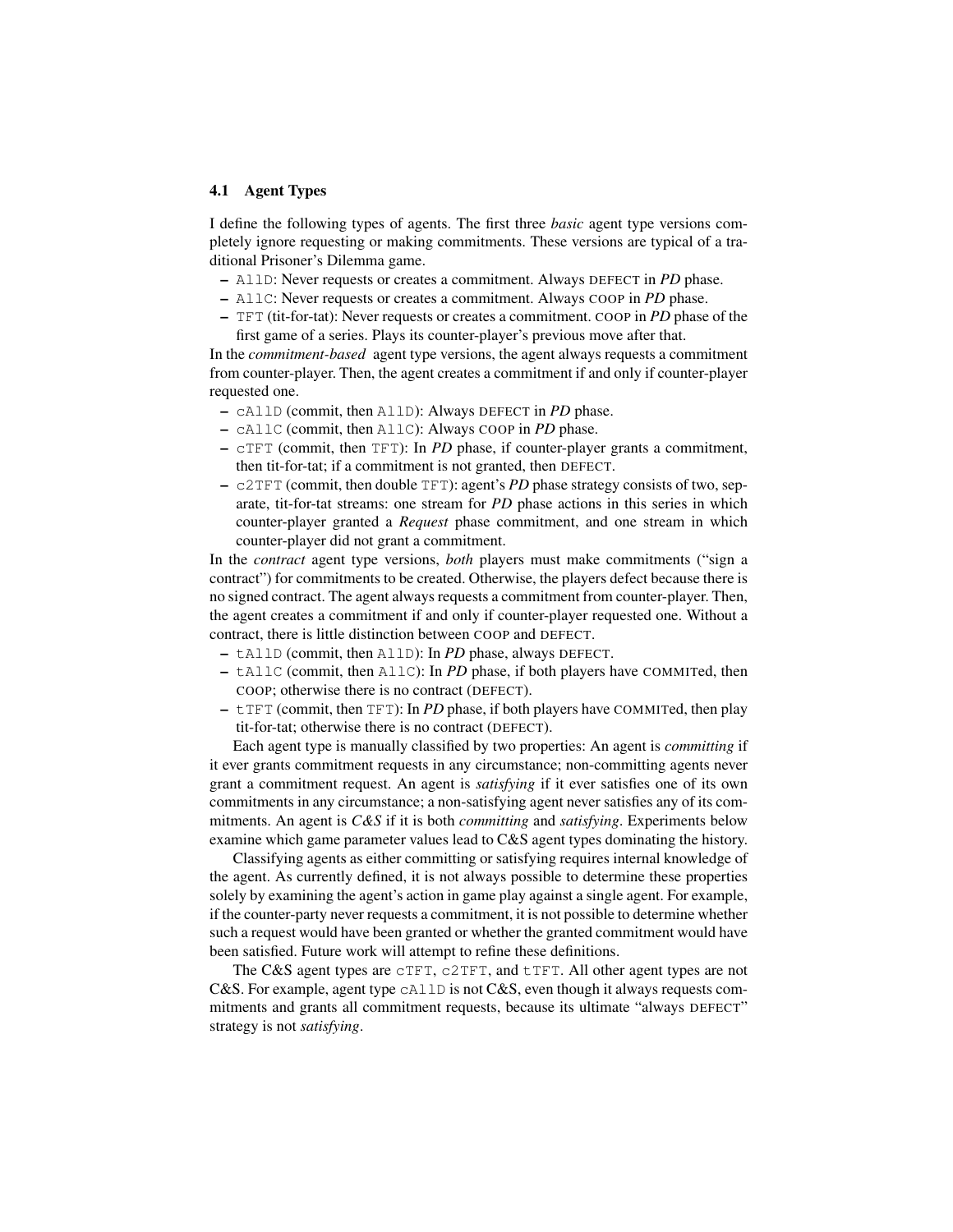## 4.1 Agent Types

I define the following types of agents. The first three *basic* agent type versions completely ignore requesting or making commitments. These versions are typical of a traditional Prisoner's Dilemma game.

- AllD: Never requests or creates a commitment. Always DEFECT in *PD* phase.
- AllC: Never requests or creates a commitment. Always COOP in *PD* phase.
- TFT (tit-for-tat): Never requests or creates a commitment. COOP in *PD* phase of the first game of a series. Plays its counter-player's previous move after that.

In the *commitment-based* agent type versions, the agent always requests a commitment from counter-player. Then, the agent creates a commitment if and only if counter-player requested one.

- cAllD (commit, then AllD): Always DEFECT in *PD* phase.
- cAllC (commit, then AllC): Always COOP in *PD* phase.
- cTFT (commit, then TFT): In *PD* phase, if counter-player grants a commitment, then tit-for-tat; if a commitment is not granted, then DEFECT.
- c2TFT (commit, then double TFT): agent's *PD* phase strategy consists of two, separate, tit-for-tat streams: one stream for *PD* phase actions in this series in which counter-player granted a *Request* phase commitment, and one stream in which counter-player did not grant a commitment.

In the *contract* agent type versions, *both* players must make commitments ("sign a contract") for commitments to be created. Otherwise, the players defect because there is no signed contract. The agent always requests a commitment from counter-player. Then, the agent creates a commitment if and only if counter-player requested one. Without a contract, there is little distinction between COOP and DEFECT.

- tAllD (commit, then AllD): In *PD* phase, always DEFECT.
- tAllC (commit, then AllC): In *PD* phase, if both players have COMMITed, then COOP; otherwise there is no contract (DEFECT).
- tTFT (commit, then TFT): In *PD* phase, if both players have COMMITed, then play tit-for-tat; otherwise there is no contract (DEFECT).

Each agent type is manually classified by two properties: An agent is *committing* if it ever grants commitment requests in any circumstance; non-committing agents never grant a commitment request. An agent is *satisfying* if it ever satisfies one of its own commitments in any circumstance; a non-satisfying agent never satisfies any of its commitments. An agent is *C&S* if it is both *committing* and *satisfying*. Experiments below examine which game parameter values lead to C&S agent types dominating the history.

Classifying agents as either committing or satisfying requires internal knowledge of the agent. As currently defined, it is not always possible to determine these properties solely by examining the agent's action in game play against a single agent. For example, if the counter-party never requests a commitment, it is not possible to determine whether such a request would have been granted or whether the granted commitment would have been satisfied. Future work will attempt to refine these definitions.

The C&S agent types are  $\text{CFFT}$ ,  $\text{c2TFT}$ , and  $\text{tTFT}$ . All other agent types are not C&S. For example, agent type  $cA11D$  is not C&S, even though it always requests commitments and grants all commitment requests, because its ultimate "always DEFECT" strategy is not *satisfying*.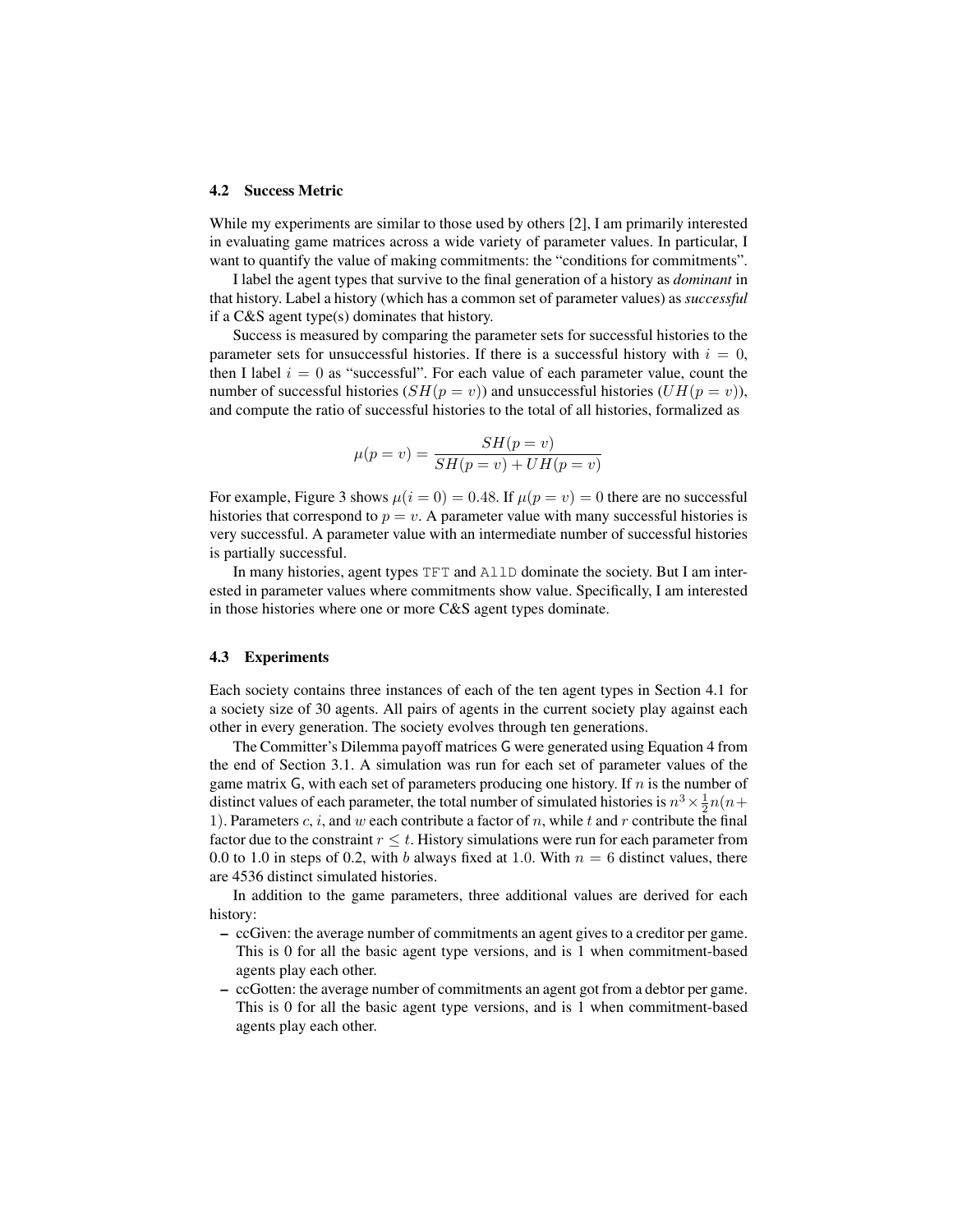#### 4.2 Success Metric

While my experiments are similar to those used by others [2], I am primarily interested in evaluating game matrices across a wide variety of parameter values. In particular, I want to quantify the value of making commitments: the "conditions for commitments".

I label the agent types that survive to the final generation of a history as *dominant* in that history. Label a history (which has a common set of parameter values) as *successful* if a C&S agent type(s) dominates that history.

Success is measured by comparing the parameter sets for successful histories to the parameter sets for unsuccessful histories. If there is a successful history with  $i = 0$ , then I label  $i = 0$  as "successful". For each value of each parameter value, count the number of successful histories  $(SH(p = v))$  and unsuccessful histories  $(UH(p = v))$ , and compute the ratio of successful histories to the total of all histories, formalized as

$$
\mu(p = v) = \frac{SH(p = v)}{SH(p = v) + UH(p = v)}
$$

For example, Figure 3 shows  $\mu(i = 0) = 0.48$ . If  $\mu(p = v) = 0$  there are no successful histories that correspond to  $p = v$ . A parameter value with many successful histories is very successful. A parameter value with an intermediate number of successful histories is partially successful.

In many histories, agent types TFT and AllD dominate the society. But I am interested in parameter values where commitments show value. Specifically, I am interested in those histories where one or more C&S agent types dominate.

### 4.3 Experiments

Each society contains three instances of each of the ten agent types in Section 4.1 for a society size of 30 agents. All pairs of agents in the current society play against each other in every generation. The society evolves through ten generations.

The Committer's Dilemma payoff matrices G were generated using Equation 4 from the end of Section 3.1. A simulation was run for each set of parameter values of the game matrix  $G$ , with each set of parameters producing one history. If n is the number of distinct values of each parameter, the total number of simulated histories is  $n^3 \times \frac{1}{2}n(n+1)$ 1). Parameters  $c, i$ , and  $w$  each contribute a factor of  $n$ , while  $t$  and  $r$  contribute the final factor due to the constraint  $r \leq t$ . History simulations were run for each parameter from 0.0 to 1.0 in steps of 0.2, with b always fixed at 1.0. With  $n = 6$  distinct values, there are 4536 distinct simulated histories.

In addition to the game parameters, three additional values are derived for each history:

- ccGiven: the average number of commitments an agent gives to a creditor per game. This is 0 for all the basic agent type versions, and is 1 when commitment-based agents play each other.
- ccGotten: the average number of commitments an agent got from a debtor per game. This is 0 for all the basic agent type versions, and is 1 when commitment-based agents play each other.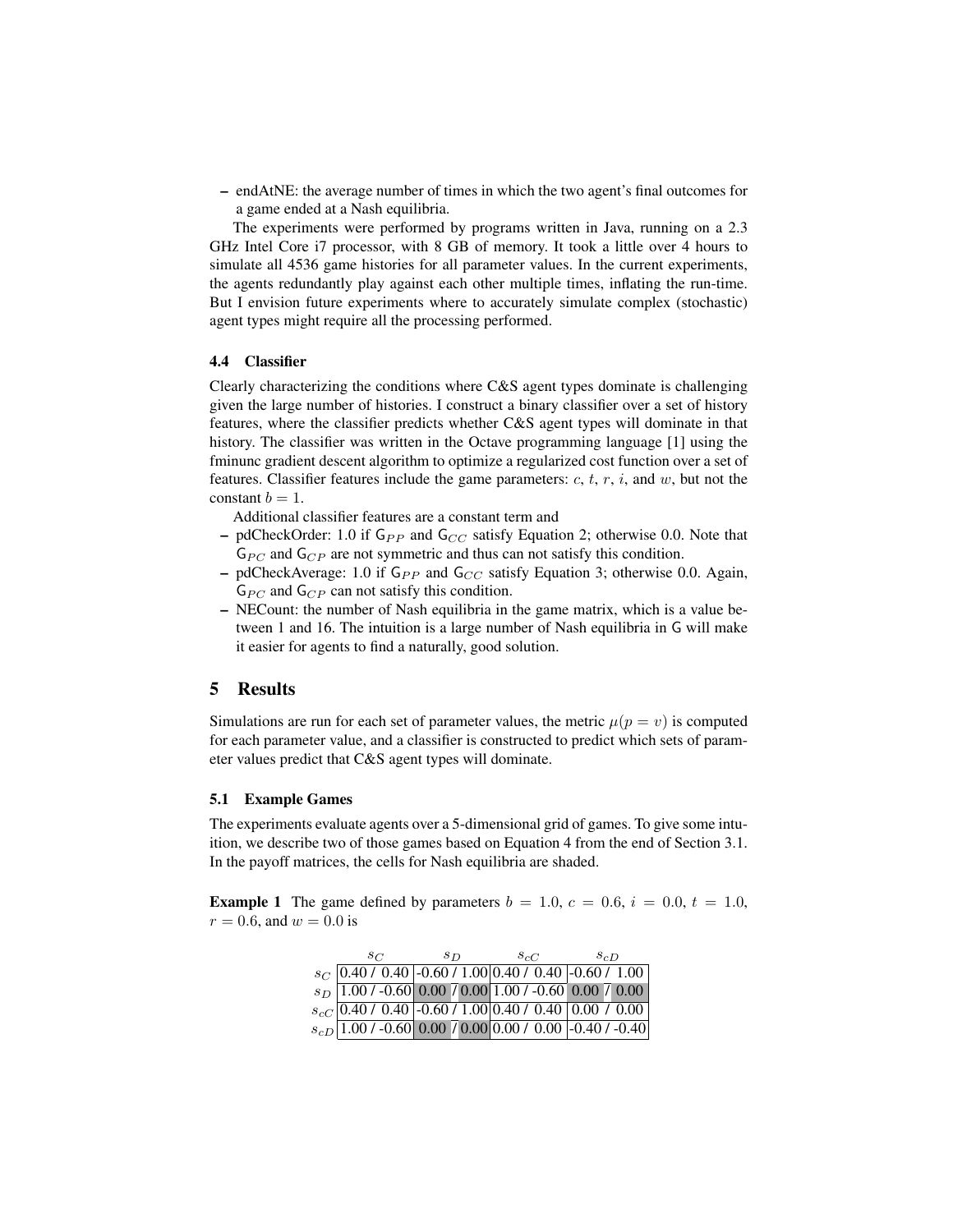– endAtNE: the average number of times in which the two agent's final outcomes for a game ended at a Nash equilibria.

The experiments were performed by programs written in Java, running on a 2.3 GHz Intel Core i7 processor, with 8 GB of memory. It took a little over 4 hours to simulate all 4536 game histories for all parameter values. In the current experiments, the agents redundantly play against each other multiple times, inflating the run-time. But I envision future experiments where to accurately simulate complex (stochastic) agent types might require all the processing performed.

### 4.4 Classifier

Clearly characterizing the conditions where C&S agent types dominate is challenging given the large number of histories. I construct a binary classifier over a set of history features, where the classifier predicts whether C&S agent types will dominate in that history. The classifier was written in the Octave programming language [1] using the fminunc gradient descent algorithm to optimize a regularized cost function over a set of features. Classifier features include the game parameters:  $c, t, r, i$ , and  $w$ , but not the constant  $b = 1$ .

Additional classifier features are a constant term and

- pdCheckOrder: 1.0 if  $G_{PP}$  and  $G_{CC}$  satisfy Equation 2; otherwise 0.0. Note that  $G_{PC}$  and  $G_{CP}$  are not symmetric and thus can not satisfy this condition.
- pdCheckAverage: 1.0 if  $G_{PP}$  and  $G_{CC}$  satisfy Equation 3; otherwise 0.0. Again,  $G_{PC}$  and  $G_{CP}$  can not satisfy this condition.
- NECount: the number of Nash equilibria in the game matrix, which is a value between 1 and 16. The intuition is a large number of Nash equilibria in G will make it easier for agents to find a naturally, good solution.

# 5 Results

Simulations are run for each set of parameter values, the metric  $\mu(p = v)$  is computed for each parameter value, and a classifier is constructed to predict which sets of parameter values predict that C&S agent types will dominate.

#### 5.1 Example Games

The experiments evaluate agents over a 5-dimensional grid of games. To give some intuition, we describe two of those games based on Equation 4 from the end of Section 3.1. In the payoff matrices, the cells for Nash equilibria are shaded.

**Example 1** The game defined by parameters  $b = 1.0$ ,  $c = 0.6$ ,  $i = 0.0$ ,  $t = 1.0$ ,  $r = 0.6$ , and  $w = 0.0$  is

| $s_{C}$ | $s_{D}$ | $S_{c}C$ | $s_{c}$                                                                                                                                                                                |
|---------|---------|----------|----------------------------------------------------------------------------------------------------------------------------------------------------------------------------------------|
|         |         |          | $s_C$ 0.40 / 0.40 -0.60 / 1.00 0.40 / 0.40 -0.60 / 1.00                                                                                                                                |
|         |         |          | $\begin{array}{l l l} s_D & 1.00 & / -0.60 & 0.00 & / 0.00 & 1.00 & / -0.60 & 0.00 & / 0.00 \\ s_{cC} & 0.40 & / 0.40 & -0.60 & / 1.00 & 0.40 & / 0.40 & 0.00 & / 0.00 \\ \end{array}$ |
|         |         |          |                                                                                                                                                                                        |
|         |         |          | $s_{cD}$ 1.00 / -0.60 0.00 / 0.00 0.00 / 0.00 -0.40 / -0.40                                                                                                                            |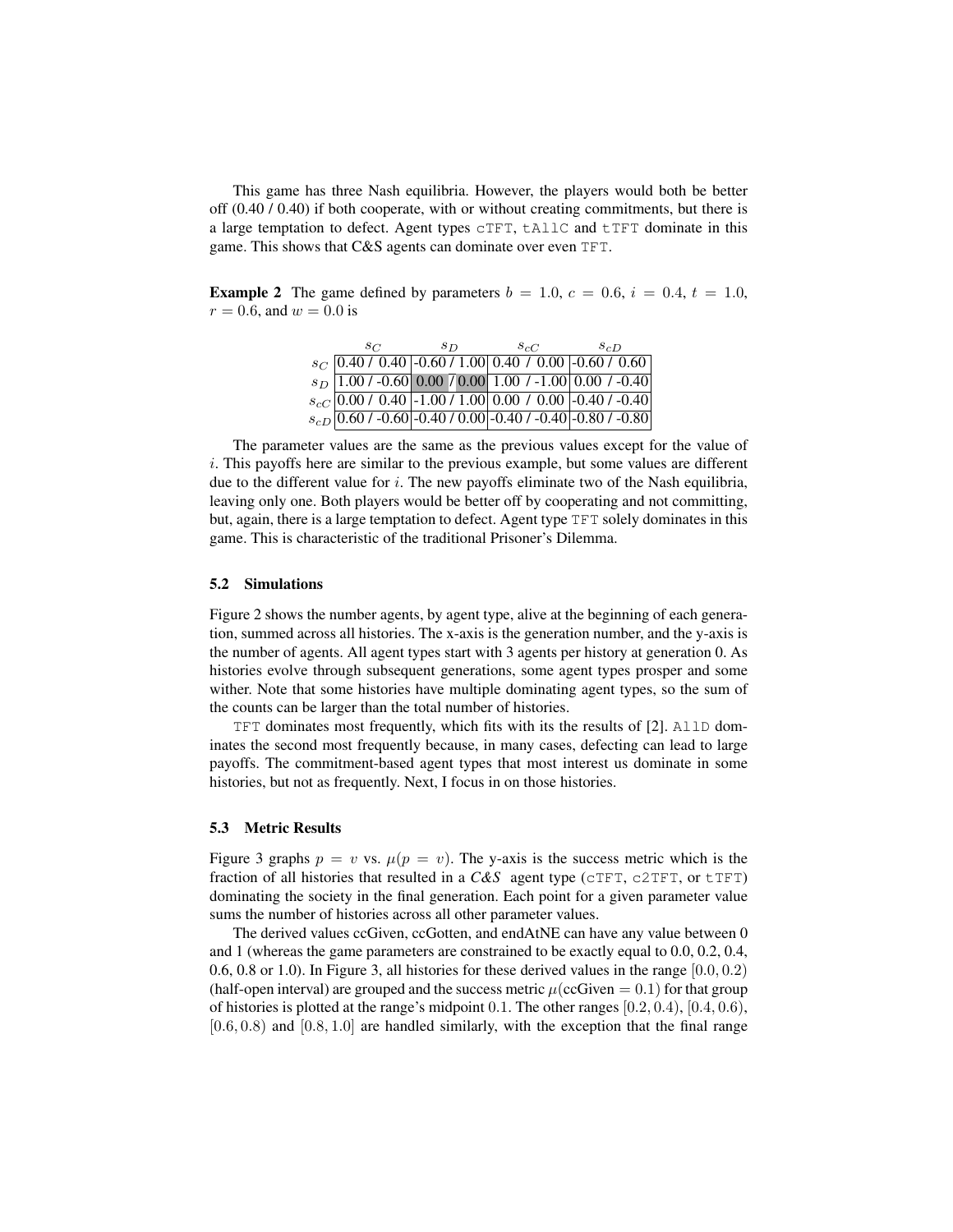This game has three Nash equilibria. However, the players would both be better off (0.40 / 0.40) if both cooperate, with or without creating commitments, but there is a large temptation to defect. Agent types cTFT, tAllC and tTFT dominate in this game. This shows that C&S agents can dominate over even TFT.

**Example 2** The game defined by parameters  $b = 1.0$ ,  $c = 0.6$ ,  $i = 0.4$ ,  $t = 1.0$ ,  $r = 0.6$ , and  $w = 0.0$  is

| $_{SC}$ | $_{SD}$ | $S_{c}C$ | $s_{c}D$                                                                                                                                                                                     |  |
|---------|---------|----------|----------------------------------------------------------------------------------------------------------------------------------------------------------------------------------------------|--|
|         |         |          | $s_C$ 0.40 / 0.40 -0.60 / 1.00 0.40 / 0.00 -0.60 / 0.60                                                                                                                                      |  |
|         |         |          | $\begin{array}{l l l} s_D & 1.00 & / -0.60 & 0.00 & / 0.00 & 1.00 & / -1.00 & 0.00 & / -0.40 \\ s_{cC} & 0.00 & / -0.40 & -1.00 & / -1.00 & 0.00 & / -0.00 & -0.40 & / -0.40 \\ \end{array}$ |  |
|         |         |          |                                                                                                                                                                                              |  |
|         |         |          | $s_{cD}$ 0.60 / -0.60 -0.40 / 0.00 -0.40 / -0.40 -0.80 / -0.80                                                                                                                               |  |

The parameter values are the same as the previous values except for the value of i. This payoffs here are similar to the previous example, but some values are different due to the different value for  $i$ . The new payoffs eliminate two of the Nash equilibria, leaving only one. Both players would be better off by cooperating and not committing, but, again, there is a large temptation to defect. Agent type TFT solely dominates in this game. This is characteristic of the traditional Prisoner's Dilemma.

#### 5.2 Simulations

Figure 2 shows the number agents, by agent type, alive at the beginning of each generation, summed across all histories. The x-axis is the generation number, and the y-axis is the number of agents. All agent types start with 3 agents per history at generation 0. As histories evolve through subsequent generations, some agent types prosper and some wither. Note that some histories have multiple dominating agent types, so the sum of the counts can be larger than the total number of histories.

TFT dominates most frequently, which fits with its the results of [2]. AllD dominates the second most frequently because, in many cases, defecting can lead to large payoffs. The commitment-based agent types that most interest us dominate in some histories, but not as frequently. Next, I focus in on those histories.

### 5.3 Metric Results

Figure 3 graphs  $p = v$  vs.  $\mu(p = v)$ . The y-axis is the success metric which is the fraction of all histories that resulted in a *C&S* agent type (cTFT, c2TFT, or tTFT) dominating the society in the final generation. Each point for a given parameter value sums the number of histories across all other parameter values.

The derived values ccGiven, ccGotten, and endAtNE can have any value between 0 and 1 (whereas the game parameters are constrained to be exactly equal to 0.0, 0.2, 0.4, 0.6, 0.8 or 1.0). In Figure 3, all histories for these derived values in the range  $[0.0, 0.2)$ (half-open interval) are grouped and the success metric  $\mu$ (ccGiven  $= 0.1$ ) for that group of histories is plotted at the range's midpoint 0.1. The other ranges [0.2, 0.4), [0.4, 0.6),  $[0.6, 0.8)$  and  $[0.8, 1.0]$  are handled similarly, with the exception that the final range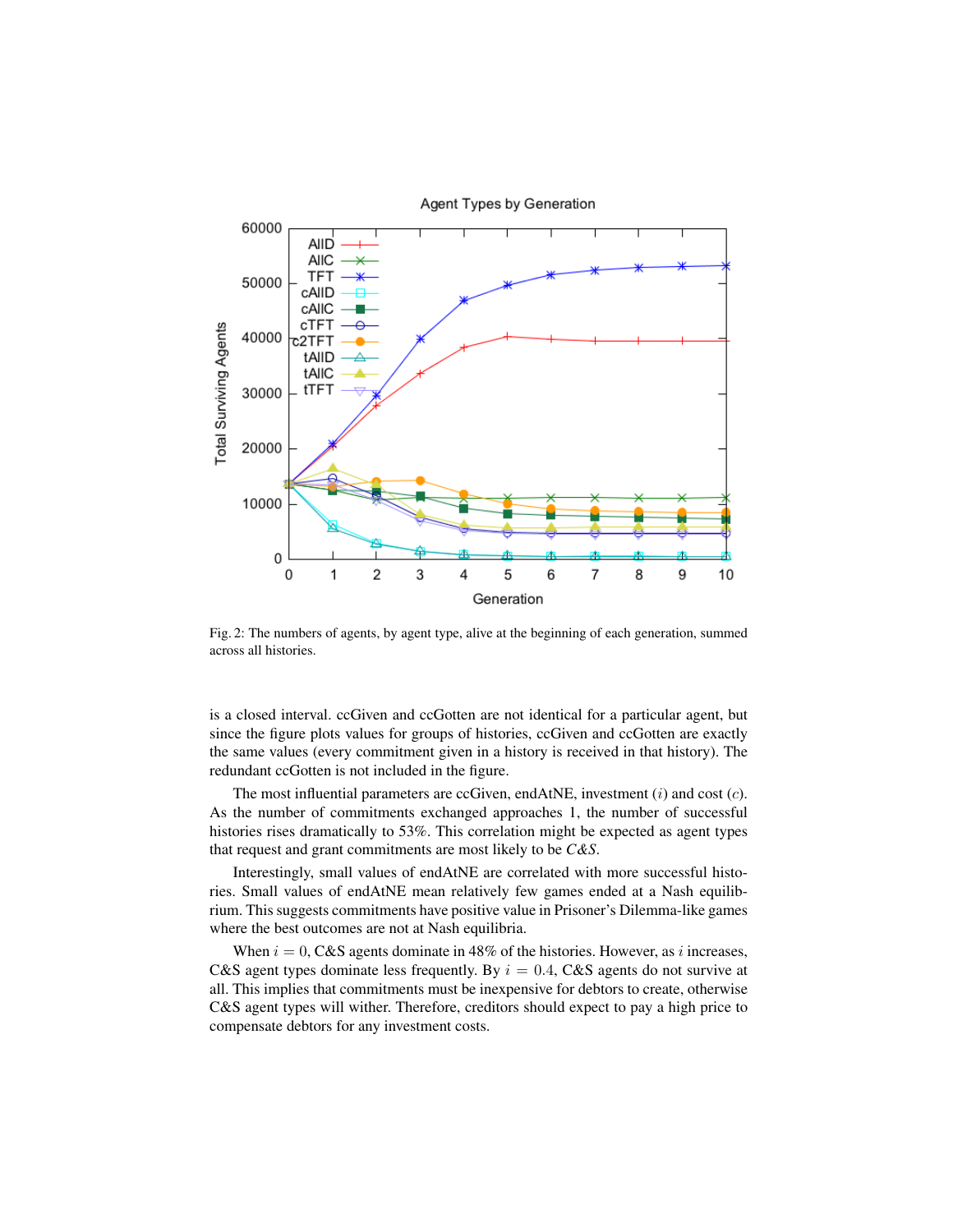

Fig. 2: The numbers of agents, by agent type, alive at the beginning of each generation, summed

across all histories.

is a closed interval. ccGiven and ccGotten are not identical for a particular agent, but since the figure plots values for groups of histories, ccGiven and ccGotten are exactly the same values (every commitment given in a history is received in that history). The redundant ccGotten is not included in the figure.

The most influential parameters are ccGiven, endAtNE, investment  $(i)$  and cost  $(c)$ . As the number of commitments exchanged approaches 1, the number of successful histories rises dramatically to 53%. This correlation might be expected as agent types that request and grant commitments are most likely to be *C&S*.

Interestingly, small values of endAtNE are correlated with more successful histories. Small values of endAtNE mean relatively few games ended at a Nash equilibrium. This suggests commitments have positive value in Prisoner's Dilemma-like games where the best outcomes are not at Nash equilibria.

When  $i = 0$ , C&S agents dominate in 48% of the histories. However, as i increases, C&S agent types dominate less frequently. By  $i = 0.4$ , C&S agents do not survive at all. This implies that commitments must be inexpensive for debtors to create, otherwise C&S agent types will wither. Therefore, creditors should expect to pay a high price to compensate debtors for any investment costs.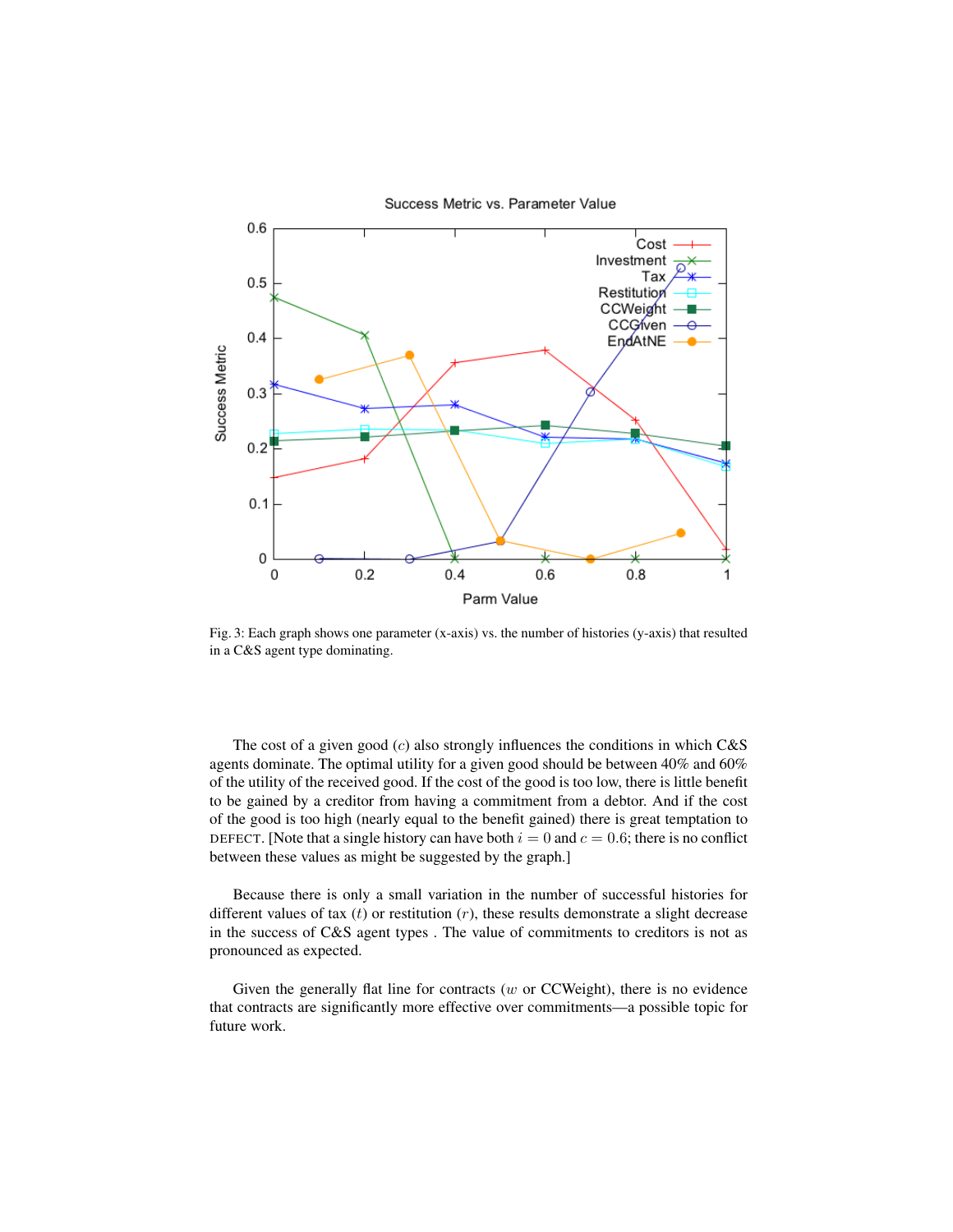

Fig. 3: Each graph shows one parameter (x-axis) vs. the number of histories (y-axis) that resulted in a C&S agent type dominating.

The cost of a given good  $(c)$  also strongly influences the conditions in which  $C&S$ agents dominate. The optimal utility for a given good should be between 40% and 60% of the utility of the received good. If the cost of the good is too low, there is little benefit to be gained by a creditor from having a commitment from a debtor. And if the cost of the good is too high (nearly equal to the benefit gained) there is great temptation to DEFECT. [Note that a single history can have both  $i = 0$  and  $c = 0.6$ ; there is no conflict between these values as might be suggested by the graph.]

Because there is only a small variation in the number of successful histories for different values of tax  $(t)$  or restitution  $(r)$ , these results demonstrate a slight decrease in the success of C&S agent types . The value of commitments to creditors is not as pronounced as expected.

Given the generally flat line for contracts ( $w$  or CCWeight), there is no evidence that contracts are significantly more effective over commitments—a possible topic for future work.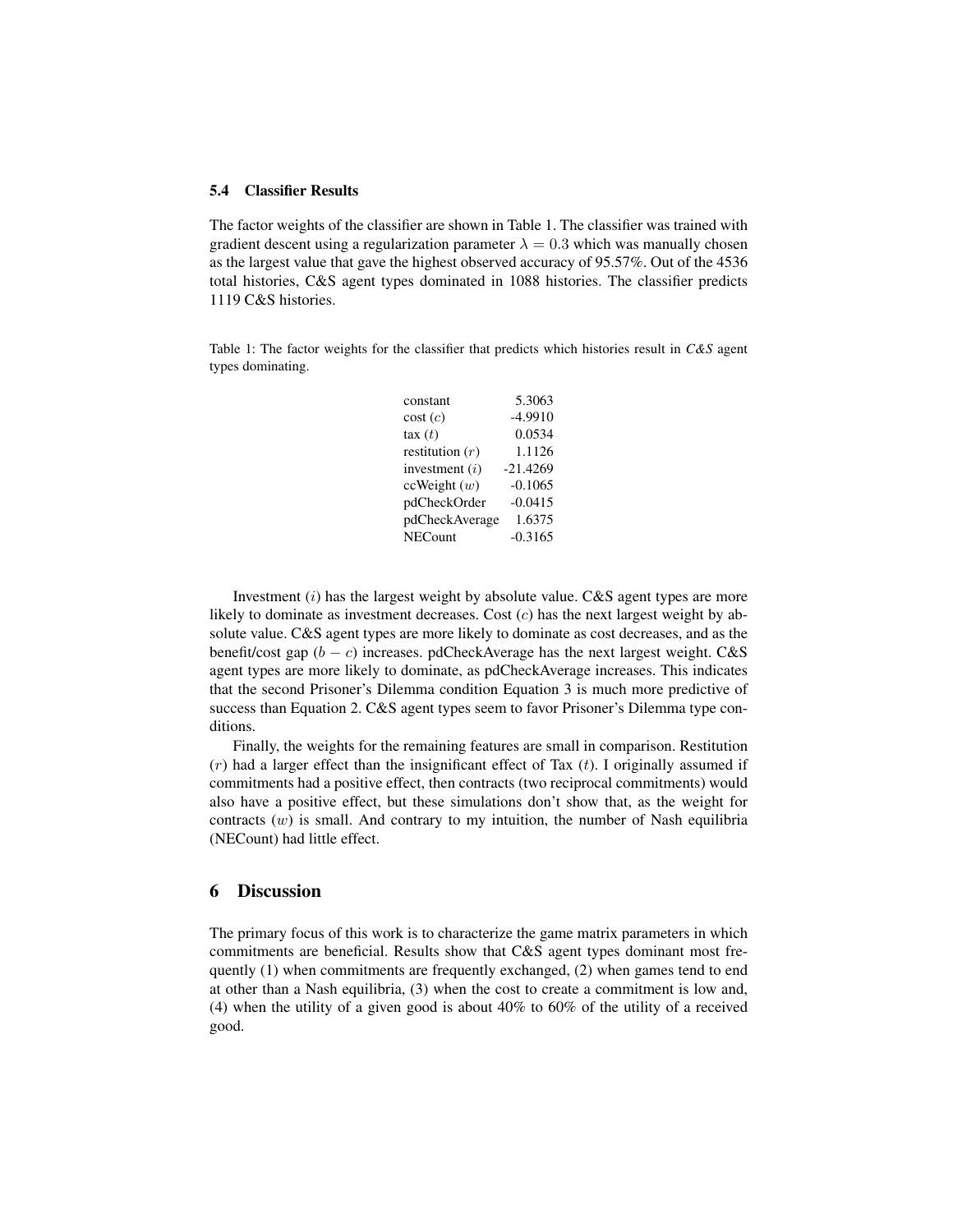#### 5.4 Classifier Results

The factor weights of the classifier are shown in Table 1. The classifier was trained with gradient descent using a regularization parameter  $\lambda = 0.3$  which was manually chosen as the largest value that gave the highest observed accuracy of 95.57%. Out of the 4536 total histories, C&S agent types dominated in 1088 histories. The classifier predicts 1119 C&S histories.

Table 1: The factor weights for the classifier that predicts which histories result in *C&S* agent types dominating.

| constant          | 5.3063     |
|-------------------|------------|
| cost(c)           | $-4.9910$  |
| $\text{tax}(t)$   | 0.0534     |
| restitution $(r)$ | 1.1126     |
| investment $(i)$  | $-21.4269$ |
| ccWeight(w)       | $-0.1065$  |
| pdCheckOrder      | $-0.0415$  |
| pdCheckAverage    | 1.6375     |
| <b>NECount</b>    | $-0.3165$  |

Investment  $(i)$  has the largest weight by absolute value. C&S agent types are more likely to dominate as investment decreases. Cost  $(c)$  has the next largest weight by absolute value. C&S agent types are more likely to dominate as cost decreases, and as the benefit/cost gap  $(b - c)$  increases. pdCheckAverage has the next largest weight. C&S agent types are more likely to dominate, as pdCheckAverage increases. This indicates that the second Prisoner's Dilemma condition Equation 3 is much more predictive of success than Equation 2. C&S agent types seem to favor Prisoner's Dilemma type conditions.

Finally, the weights for the remaining features are small in comparison. Restitution  $(r)$  had a larger effect than the insignificant effect of Tax  $(t)$ . I originally assumed if commitments had a positive effect, then contracts (two reciprocal commitments) would also have a positive effect, but these simulations don't show that, as the weight for contracts  $(w)$  is small. And contrary to my intuition, the number of Nash equilibria (NECount) had little effect.

# 6 Discussion

The primary focus of this work is to characterize the game matrix parameters in which commitments are beneficial. Results show that C&S agent types dominant most frequently (1) when commitments are frequently exchanged, (2) when games tend to end at other than a Nash equilibria, (3) when the cost to create a commitment is low and, (4) when the utility of a given good is about 40% to 60% of the utility of a received good.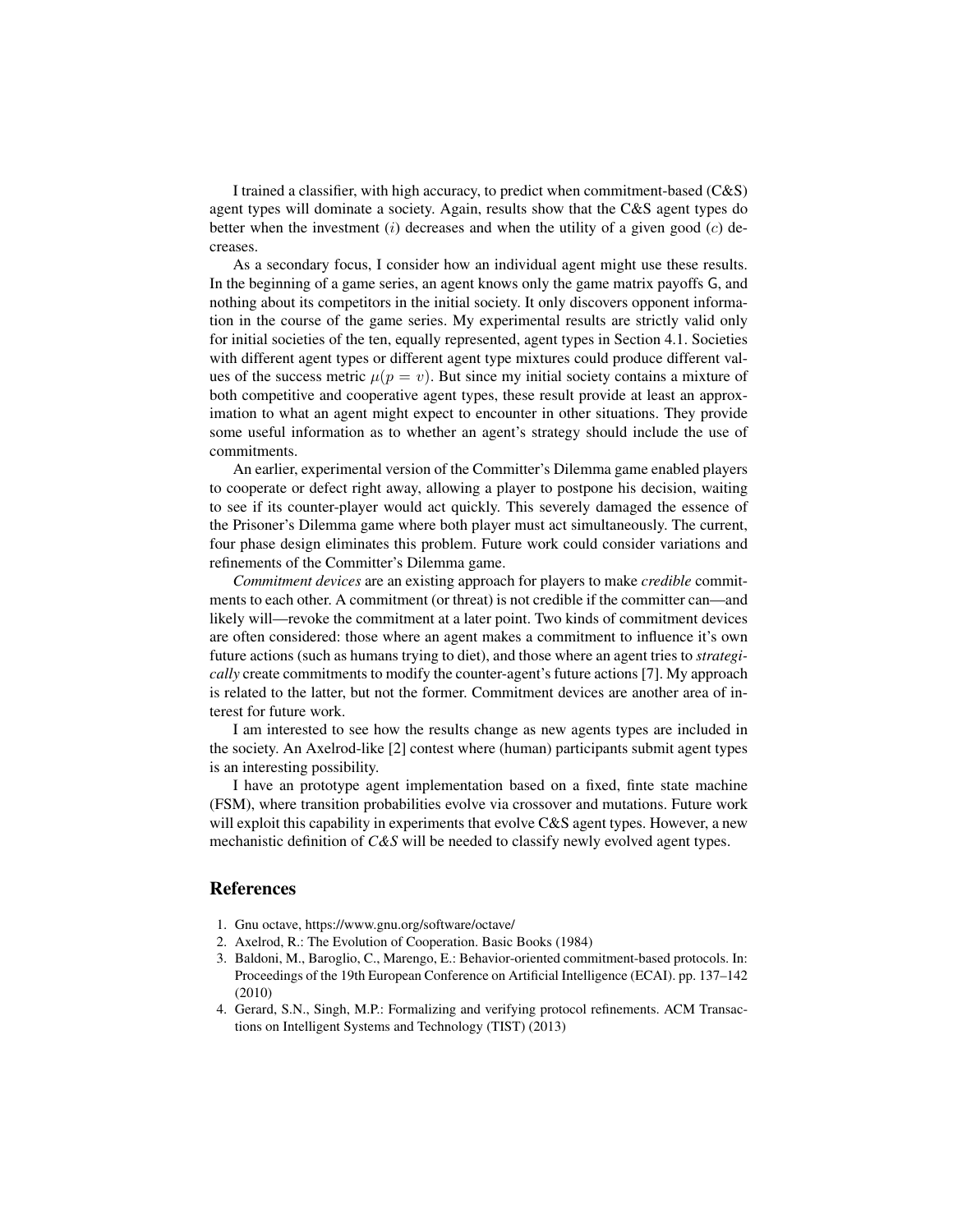I trained a classifier, with high accuracy, to predict when commitment-based (C&S) agent types will dominate a society. Again, results show that the C&S agent types do better when the investment  $(i)$  decreases and when the utility of a given good  $(c)$  decreases.

As a secondary focus, I consider how an individual agent might use these results. In the beginning of a game series, an agent knows only the game matrix payoffs G, and nothing about its competitors in the initial society. It only discovers opponent information in the course of the game series. My experimental results are strictly valid only for initial societies of the ten, equally represented, agent types in Section 4.1. Societies with different agent types or different agent type mixtures could produce different values of the success metric  $\mu(p = v)$ . But since my initial society contains a mixture of both competitive and cooperative agent types, these result provide at least an approximation to what an agent might expect to encounter in other situations. They provide some useful information as to whether an agent's strategy should include the use of commitments.

An earlier, experimental version of the Committer's Dilemma game enabled players to cooperate or defect right away, allowing a player to postpone his decision, waiting to see if its counter-player would act quickly. This severely damaged the essence of the Prisoner's Dilemma game where both player must act simultaneously. The current, four phase design eliminates this problem. Future work could consider variations and refinements of the Committer's Dilemma game.

*Commitment devices* are an existing approach for players to make *credible* commitments to each other. A commitment (or threat) is not credible if the committer can—and likely will—revoke the commitment at a later point. Two kinds of commitment devices are often considered: those where an agent makes a commitment to influence it's own future actions (such as humans trying to diet), and those where an agent tries to *strategically* create commitments to modify the counter-agent's future actions [7]. My approach is related to the latter, but not the former. Commitment devices are another area of interest for future work.

I am interested to see how the results change as new agents types are included in the society. An Axelrod-like [2] contest where (human) participants submit agent types is an interesting possibility.

I have an prototype agent implementation based on a fixed, finte state machine (FSM), where transition probabilities evolve via crossover and mutations. Future work will exploit this capability in experiments that evolve C&S agent types. However, a new mechanistic definition of *C&S* will be needed to classify newly evolved agent types.

# References

- 1. Gnu octave, https://www.gnu.org/software/octave/
- 2. Axelrod, R.: The Evolution of Cooperation. Basic Books (1984)
- 3. Baldoni, M., Baroglio, C., Marengo, E.: Behavior-oriented commitment-based protocols. In: Proceedings of the 19th European Conference on Artificial Intelligence (ECAI). pp. 137–142 (2010)
- 4. Gerard, S.N., Singh, M.P.: Formalizing and verifying protocol refinements. ACM Transactions on Intelligent Systems and Technology (TIST) (2013)